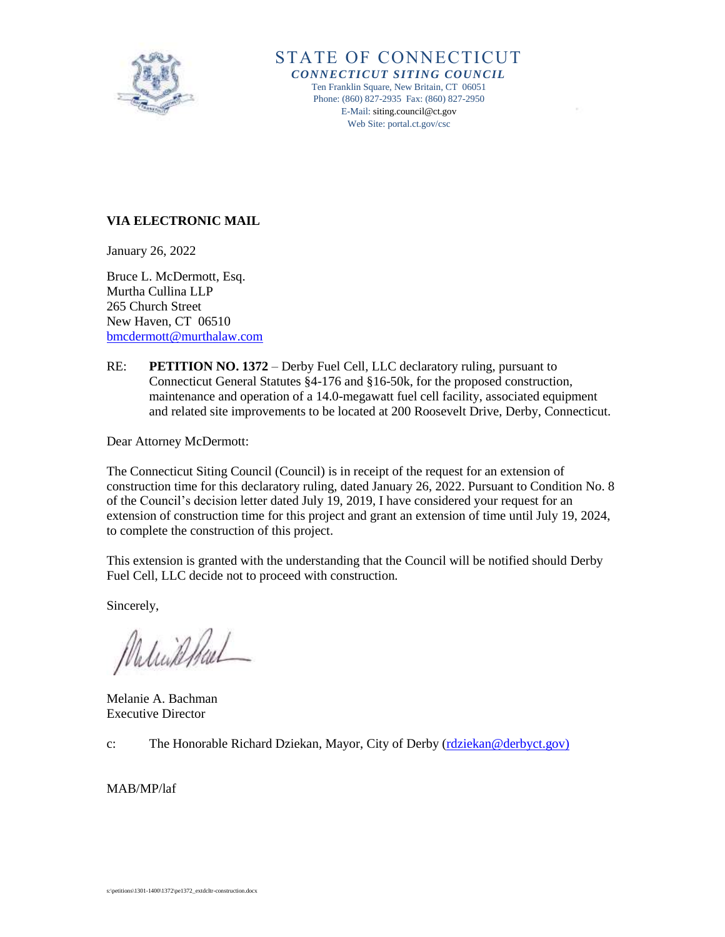

## STATE OF CONNECTICUT *CONNECTICUT SITING COUNCIL* Ten Franklin Square, New Britain, CT 06051 Phone: (860) 827-2935 Fax: (860) 827-2950 E-Mail[: siting.council@ct.gov](mailto:siting.council@ct.gov) Web Site: portal.ct.gov/csc

## **VIA ELECTRONIC MAIL**

January 26, 2022

Bruce L. McDermott, Esq. Murtha Cullina LLP 265 Church Street New Haven, CT 06510 [bmcdermott@murthalaw.com](mailto:bmcdermott@murthalaw.com)

RE: **PETITION NO. 1372** – Derby Fuel Cell, LLC declaratory ruling, pursuant to Connecticut General Statutes §4-176 and §16-50k, for the proposed construction, maintenance and operation of a 14.0-megawatt fuel cell facility, associated equipment and related site improvements to be located at 200 Roosevelt Drive, Derby, Connecticut.

Dear Attorney McDermott:

The Connecticut Siting Council (Council) is in receipt of the request for an extension of construction time for this declaratory ruling, dated January 26, 2022. Pursuant to Condition No. 8 of the Council's decision letter dated July 19, 2019, I have considered your request for an extension of construction time for this project and grant an extension of time until July 19, 2024, to complete the construction of this project.

This extension is granted with the understanding that the Council will be notified should Derby Fuel Cell, LLC decide not to proceed with construction.

Sincerely,

Malinkellal

Melanie A. Bachman Executive Director

c: The Honorable Richard Dziekan, Mayor, City of Derby [\(rdziekan@derbyct.gov\)](mailto:rdziekan@derbyct.gov)

MAB/MP/laf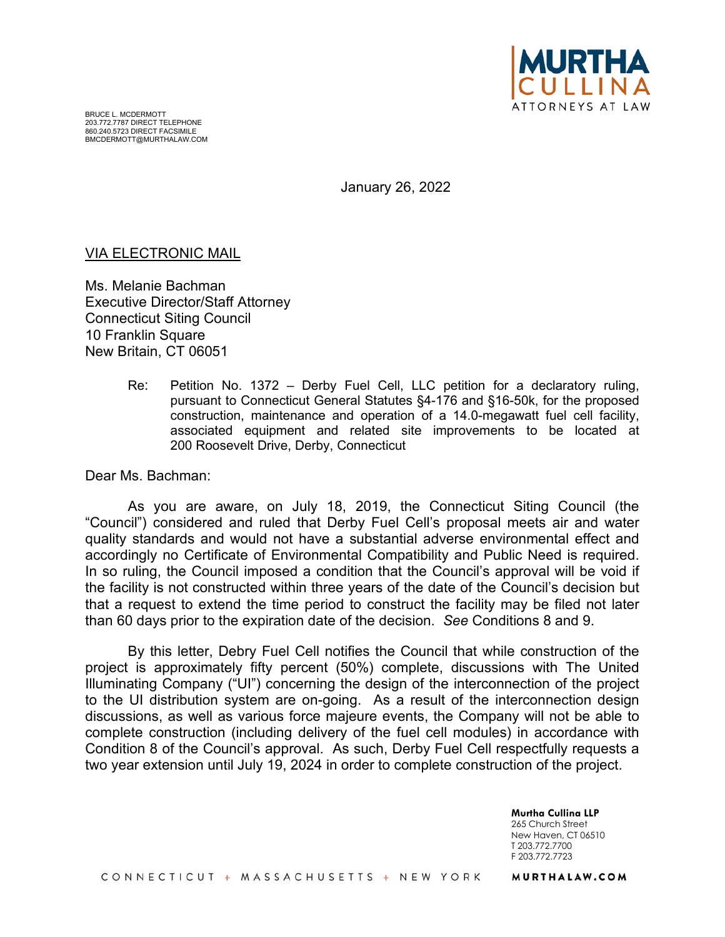

January 26, 2022

## VIA ELECTRONIC MAIL

Ms. Melanie Bachman Executive Director/Staff Attorney Connecticut Siting Council 10 Franklin Square New Britain, CT 06051

> Re: Petition No. 1372 – Derby Fuel Cell, LLC petition for a declaratory ruling, pursuant to Connecticut General Statutes §4-176 and §16-50k, for the proposed construction, maintenance and operation of a 14.0-megawatt fuel cell facility, associated equipment and related site improvements to be located at 200 Roosevelt Drive, Derby, Connecticut

Dear Ms. Bachman:

As you are aware, on July 18, 2019, the Connecticut Siting Council (the "Council") considered and ruled that Derby Fuel Cell's proposal meets air and water quality standards and would not have a substantial adverse environmental effect and accordingly no Certificate of Environmental Compatibility and Public Need is required. In so ruling, the Council imposed a condition that the Council's approval will be void if the facility is not constructed within three years of the date of the Council's decision but that a request to extend the time period to construct the facility may be filed not later than 60 days prior to the expiration date of the decision. *See* Conditions 8 and 9.

By this letter, Debry Fuel Cell notifies the Council that while construction of the project is approximately fifty percent (50%) complete, discussions with The United Illuminating Company ("UI") concerning the design of the interconnection of the project to the UI distribution system are on-going. As a result of the interconnection design discussions, as well as various force majeure events, the Company will not be able to complete construction (including delivery of the fuel cell modules) in accordance with Condition 8 of the Council's approval. As such, Derby Fuel Cell respectfully requests a two year extension until July 19, 2024 in order to complete construction of the project.

> **Murtha Cullina LLP**  265 Church Street New Haven, CT 06510 T 203.772.7700 F 203.772.7723

CONNECTICUT + MASSACHUSETTS + NEW YORK

MURTHALAW.COM